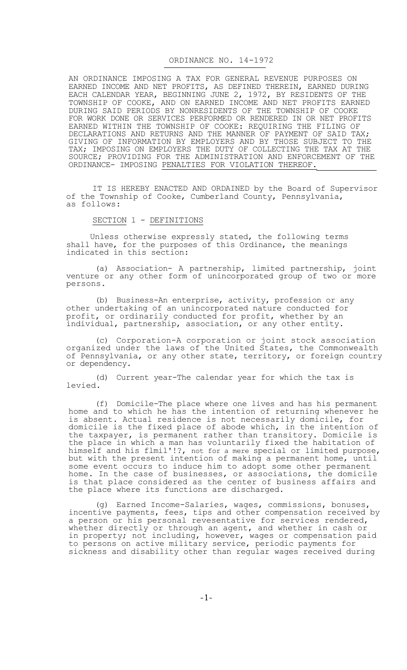#### ORDINANCE NO. 14-1972

AN ORDINANCE IMPOSING A TAX FOR GENERAL REVENUE PURPOSES ON EARNED INCOME AND NET PROFITS, AS DEFINED THEREIN, EARNED DURING EACH CALENDAR YEAR, BEGINNING JUNE 2, 1972, BY RESIDENTS OF THE TOWNSHIP OF COOKE, AND ON EARNED INCOME AND NET PROFITS EARNED DURING SAID PERIODS BY NONRESIDENTS OF THE TOWNSHIP OF COOKE FOR WORK DONE OR SERVICES PERFORMED OR RENDERED IN OR NET PROFITS EARNED WITHIN THE TOWNSHIP OF COOKE: REQUIRING THE FILING OF DECLARATIONS AND RETURNS AND THE MANNER OF PAYMENT OF SAID TAX; GIVING OF INFORMATION BY EMPLOYERS AND BY THOSE SUBJECT TO THE TAX; IMPOSING ON EMPLOYERS THE DUTY OF COLLECTING THE TAX AT THE SOURCE; PROVIDING FOR THE ADMINISTRATION AND ENFORCEMENT OF THE ORDINANCE- IMPOSING PENALTIES FOR VIOLATION THEREOF.

IT IS HEREBY ENACTED AND ORDAINED by the Board of Supervisor of the Township of Cooke, Cumberland County, Pennsylvania, as follows:

### SECTION 1 - DEFINITIONS

Unless otherwise expressly stated, the following terms shall have, for the purposes of this Ordinance, the meanings indicated in this section:

(a) Association- A partnership, limited partnership, joint venture or any other form of unincorporated group of two or more persons.

(b) Business-An enterprise, activity, profession or any other undertaking of an unincorporated nature conducted for profit, or ordinarily conducted for profit, whether by an individual, partnership, association, or any other entity.

(c) Corporation-A corporation or joint stock association organized under the laws of the United States, the Commonwealth of Pennsylvania, or any other state, territory, or foreign country or dependency.

(d) Current year-The calendar year for which the tax is levied.

(f) Domicile-The place where one lives and has his permanent home and to which he has the intention of returning whenever he is absent. Actual residence is not necessarily domicile, for domicile is the fixed place of abode which, in the intention of the taxpayer, is permanent rather than transitory. Domicile is the place in which a man has voluntarily fixed the habitation of himself and his flmil'!?, not for a mere special or limited purpose, but with the present intention of making a permanent home, until some event occurs to induce him to adopt some other permanent home. In the case of businesses, or associations, the domicile is that place considered as the center of business affairs and the place where its functions are discharged.

(g) Earned Income-Salaries, wages, commissions, bonuses, incentive payments, fees, tips and other compensation received by a person or his personal revesentative for services rendered, whether directly or through an agent, and whether in cash or in property; not including, however, wages or compensation paid to persons on active military service, periodic payments for sickness and disability other than regular wages received during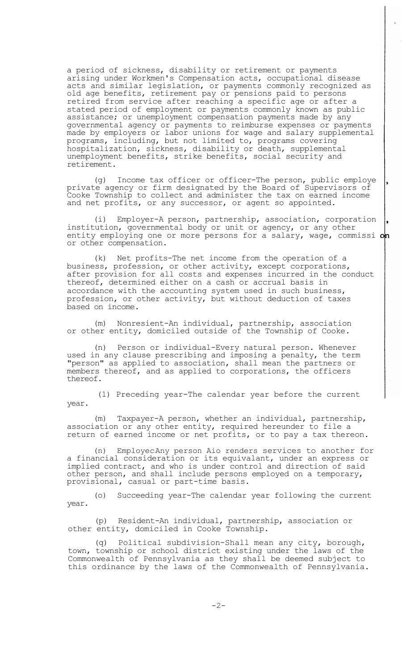a period of sickness, disability or retirement or payments arising under Workmen's Compensation acts, occupational disease acts and similar legislation, or payments commonly recognized as old age benefits, retirement pay or pensions paid to persons retired from service after reaching a specific age or after a stated period of employment or payments commonly known as public assistance; or unemployment compensation payments made by any governmental agency or payments to reimburse expenses or payments made by employers or labor unions for wage and salary supplemental programs, including, but not limited to, programs covering hospitalization, sickness, disability or death, supplemental unemployment benefits, strike benefits, social security and retirement.

(g) Income tax officer or officer-The person, public employe private agency or firm designated by the Board of Supervisors of Cooke Township to collect and administer the tax on earned income and net profits, or any successor, or agent so appointed.

(i) Employer-A person, partnership, association, corporation institution, governmental body or unit or agency, or any other entity employing one or more persons for a salary, wage, commissi on or other compensation.

(k) Net profits-The net income from the operation of a business, profession, or other activity, except corporations, after provision for all costs and expenses incurred in the conduct thereof, determined either on a cash or accrual basis in accordance with the accounting system used in such business, profession, or other activity, but without deduction of taxes based on income.

(m) Nonresient-An individual, partnership, association or other entity, domiciled outside of the Township of Cooke.

(n) Person or individual-Every natural person. Whenever used in any clause prescribing and imposing a penalty, the term "person" as applied to association, shall mean the partners or members thereof, and as applied to corporations, the officers thereof.

(1) Preceding year-The calendar year before the current year.

(m) Taxpayer-A person, whether an individual, partnership, association or any other entity, required hereunder to file a return of earned income or net profits, or to pay a tax thereon.

(n) Employec-Any person Aio renders services to another for a financial consideration or its equivalant, under an express or implied contract, and who is under control and direction of said other person, and shall include persons employed on a temporary, provisional, casual or part-time basis.

(o) Succeeding year-The calendar year following the current year.

(p) Resident-An individual, partnership, association or other entity, domiciled in Cooke Township.

(q) Political subdivision-Shall mean any city, borough, town, township or school district existing under the laws of the Commonwealth of Pennsylvania as they shall be deemed subject to this ordinance by the laws of the Commonwealth of Pennsylvania.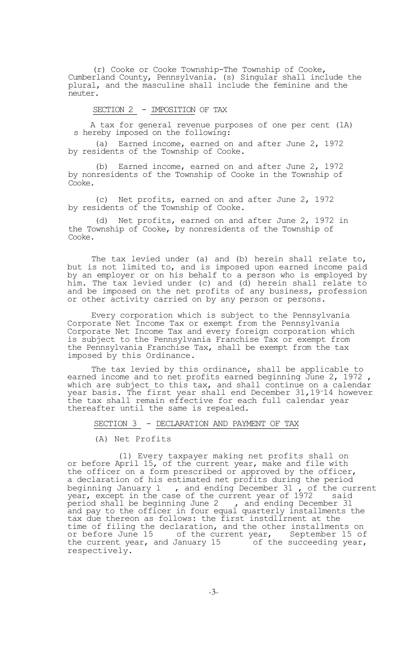(r) Cooke or Cooke Township-The Township of Cooke, Cumberland County, Pennsylvania. (s) Singular shall include the plural, and the masculine shall include the feminine and the neuter.

# SECTION 2 - IMPOSITION OF TAX

A tax for general revenue purposes of one per cent (1A) s hereby imposed on the following:

(a) Earned income, earned on and after June 2, 1972 by residents of the Township of Cooke.

(b) Earned income, earned on and after June 2, 1972 by nonresidents of the Township of Cooke in the Township of Cooke.

(c) Net profits, earned on and after June 2, 1972 by residents of the Township of Cooke.

(d) Net profits, earned on and after June 2, 1972 in the Township of Cooke, by nonresidents of the Township of Cooke.

The tax levied under (a) and (b) herein shall relate to, but is not limited to, and is imposed upon earned income paid by an employer or on his behalf to a person who is employed by him. The tax levied under (c) and (d) herein shall relate to and be imposed on the net profits of any business, profession or other activity carried on by any person or persons.

Every corporation which is subject to the Pennsylvania Corporate Net Income Tax or exempt from the Pennsylvania Corporate Net Income Tax and every foreign corporation which is subject to the Pennsylvania Franchise Tax or exempt from the Pennsylvania Franchise Tax, shall be exempt from the tax imposed by this Ordinance.

The tax levied by this ordinance, shall be applicable to earned income and to net profits earned beginning June 2, 1972 , which are subject to this tax, and shall continue on a calendar year basis. The first year shall end December 31,19-14 however**,**  the tax shall remain effective for each full calendar year thereafter until the same is repealed.

## SECTION 3 - DECLARATION AND PAYMENT OF TAX

## (A) Net Profits

(1) Every taxpayer making net profits shall on or before April 15, of the current year, make and file with the officer on a form prescribed or approved by the officer, a declaration of his estimated net profits during the period beginning January 1 , and ending December 31 , of the current year, except in the case of the current year of 1972 said period shall be beginning June 2  $\quad$  , and ending December 31 and pay to the officer in four equal quarterly installments the tax due thereon as follows: the first instdllrnent at the time of filing the declaration, and the other installments on or before June 15 of the current year, September 15 of the current year, and January 15 of the succeeding year, the current year, and January 15 respectively.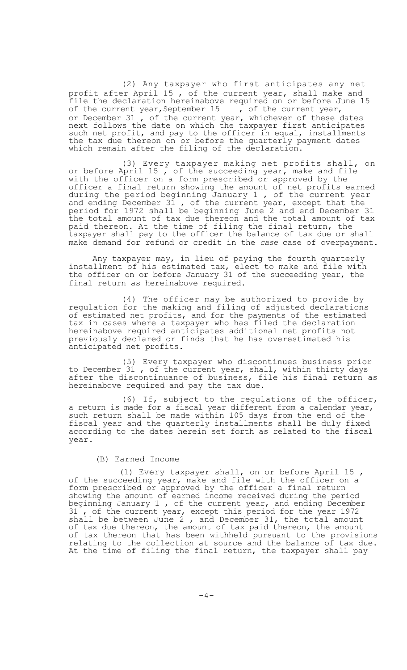(2) Any taxpayer who first anticipates any net profit after April 15 , of the current year, shall make and file the declaration hereinabove required on or before June 15 of the current year, September 15 , of the current year, or December 31, of the current year, whichever of these dates next follows the date on which the taxpayer first anticipates such net profit, and pay to the officer in equal, installments the tax due thereon on or before the quarterly payment dates which remain after the filing of the declaration.

(3) Every taxpayer making net profits shall, on or before April 15, of the succeeding year, make and file with the officer on a form prescribed or approved by the officer a final return showing the amount of net profits earned during the period beginning January 1 , of the current year and ending December 31, of the current year, except that the period for 1972 shall be beginning June 2 and end December 31 the total amount of tax due thereon and the total amount of tax paid thereon. At the time of filing the final return, the taxpayer shall pay to the officer the balance of tax due or shall make demand for refund or credit in the *case* case of overpayment.

Any taxpayer may, in lieu of paying the fourth quarterly installment of his estimated tax, elect to make and file with the officer on or before January 31 of the succeeding year, the final return as hereinabove required.

(4) The officer may be authorized to provide by regulation for the making and filing of adjusted declarations of estimated net profits, and for the payments of the estimated tax in cases where a taxpayer who has filed the declaration hereinabove required anticipates additional net profits not previously declared or finds that he has overestimated his anticipated net profits.

(5) Every taxpayer who discontinues business prior to December 31 , of the current year, shall, within thirty days after the discontinuance of business, file his final return as hereinabove required and pay the tax due.

(6) If, subject to the regulations of the officer, a return is made for a fiscal year different from a calendar year, such return shall be made within 105 days from the end of the fiscal year and the quarterly installments shall be duly fixed according to the dates herein set forth as related to the fiscal year.

#### (B) Earned Income

(1) Every taxpayer shall, on or before April 15 , of the succeeding year, make and file with the officer on a form prescribed or approved by the officer a final return showing the amount of earned income received during the period beginning January 1, of the current year, and ending December 31 , of the current year, except this period for the year 1972 shall be between June 2, and December 31, the total amount of tax due thereon, the amount of tax paid thereon, the amount of tax thereon that has been withheld pursuant to the provisions relating to the collection at source and the balance of tax due. At the time of filing the final return, the taxpayer shall pay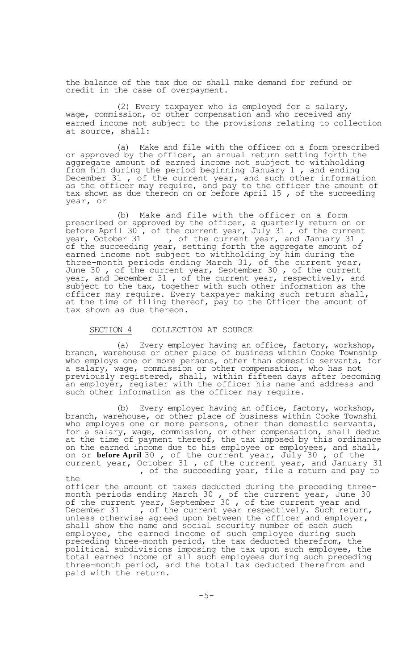the balance of the tax due or shall make demand for refund or credit in the case of overpayment.

(2) Every taxpayer who is employed for a salary, wage, commission, or other compensation and who received any earned income not subject to the provisions relating to collection at source, shall:

(a) Make and file with the officer on a form prescribed or approved by the officer, an annual return setting forth the aggregate amount of earned income not subject to withholding from him during the period beginning January 1, and ending December 31 , of the current year, and such other information as the officer may require, and pay to the officer the amount of tax shown as due thereon on or before April 15 , of the succeeding year, or

(b) Make and file with the officer on a form prescribed or approved by the officer, a quarterly return on or before April 30 , of the current year, July 31 , of the current year, October 31 , of the current year, and January 31, of the succeeding year, setting forth the aggregate amount of earned income not subject to withholding by him during the three-month periods ending March 31, of the current year, June 30, of the current year, September 30, of the current year, and December 31 , of the current year, respectively, and subject to the tax, together with such other information as the officer may require. Every taxpayer making such return shall, at the time of filing thereof, pay to the Officer the amount of tax shown as due thereon.

#### SECTION 4 COLLECTION AT SOURCE

(a) Every employer having an office, factory, workshop, branch, warehouse or other place of business within Cooke Township who employs one or more persons, other than domestic servants, for a salary, wage, commission or other compensation, who has not previously registered, shall, within fifteen days after becoming an employer, register with the officer his name and address and such other information as the officer may require.

(b) Every employer having an office, factory, workshop, branch, warehouse, or other place of business within Cooke Townshi who employes one or more persons, other than domestic servants, for a salary, wage, commission, or other compensation, shall deduc at the time of payment thereof, the tax imposed by this ordinance on the earned income due to his employee or employees, and shall, on or **before April** 30 , of the current year, July 30 , of the current year, October 31 , of the current year, and January 31 , of the succeeding year, file a return and pay to

the officer the amount of taxes deducted during the preceding threemonth periods ending March 30 , of the current year, June 30 of the current year, September 30, of the current year and December 31 , of the current year respectively. Such return, unless otherwise agreed upon between the officer and employer, shall show the name and social security number of each such employee, the earned income of such employee during such preceding three-month period, the tax deducted therefrom, the political subdivisions imposing the tax upon such employee, the total earned income of all such employees during such preceding three-month period, and the total tax deducted therefrom and paid with the return.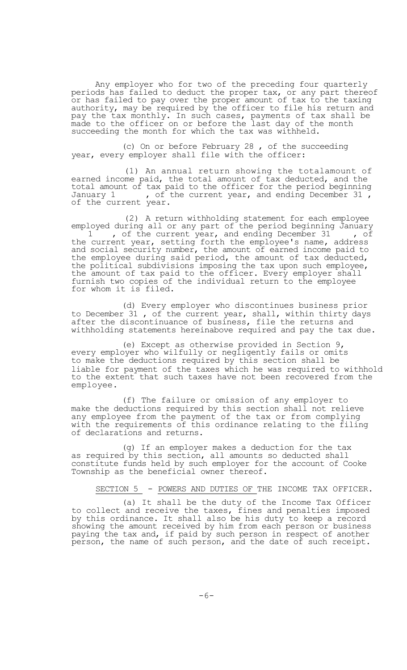Any employer who for two of the preceding four quarterly periods has failed to deduct the proper tax, or any part thereof or has failed to pay over the proper amount of tax to the taxing authority, may be required by the officer to file his return and pay the tax monthly. In such cases, payments of tax shall be made to the officer on or before the last day of the month succeeding the month for which the tax was withheld.

(c) On or before February 28 , of the succeeding year, every employer shall file with the officer:

(1) An annual return showing the totalamount of earned income paid, the total amount of tax deducted, and the total amount of tax paid to the officer for the period beginning January 1 , of the current year, and ending December 31, of the current year.

(2) A return withholding statement for each employee employed during all or any part of the period beginning January 1, of the current year, and ending December 31, of the current year, setting forth the employee's name, address and social security number, the amount of earned income paid to the employee during said period, the amount of tax deducted, the political subdivisions imposing the tax upon such employee, the amount of tax paid to the officer. Every employer shall furnish two copies of the individual return to the employee for whom it is filed.

(d) Every employer who discontinues business prior to December 31 , of the current year, shall, within thirty days after the discontinuance of business, file the returns and withholding statements hereinabove required and pay the tax due.

(e) Except as otherwise provided in Section 9, every employer who wilfully or negligently fails or omits to make the deductions required by this section shall be liable for payment of the taxes which he was required to withhold to the extent that such taxes have not been recovered from the employee.

(f) The failure or omission of any employer to make the deductions required by this section shall not relieve any employee from the payment of the tax or from complying with the requirements of this ordinance relating to the filing of declarations and returns.

(g) If an employer makes a deduction for the tax as required by this section, all amounts so deducted shall constitute funds held by such employer for the account of Cooke Township as the beneficial owner thereof.

SECTION 5 - POWERS AND DUTIES OF THE INCOME TAX OFFICER.

(a) It shall be the duty of the Income Tax Officer to collect and receive the taxes, fines and penalties imposed by this ordinance. It shall also be his duty to keep a record showing the amount received by him from each person or business paying the tax and, if paid by such person in respect of another person, the name of such person, and the date of such receipt.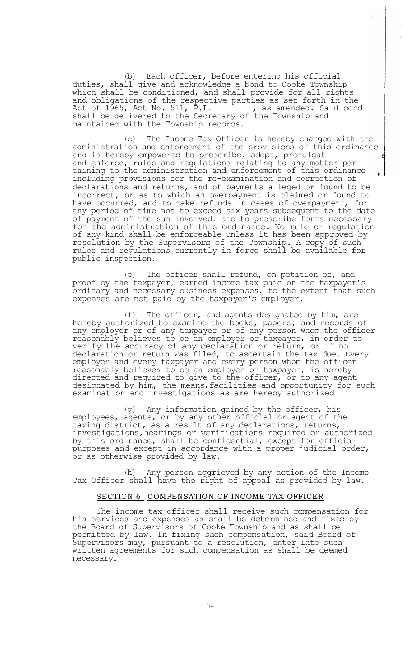(b) Each officer, before entering his official duties, shall give and acknowledge a bond to Cooke Township which shall be conditioned, and shall provide for all rights and obligations of the respective parties as set forth in the Act of  $1\overline{9}65$ , Act No. 511, P.L.  $\qquad \qquad$  , as amended. Said bond shall be delivered to the Secretary of the Township and maintained with the Township records.

(c) The Income Tax Officer is hereby charged with the administration and enforcement of the provisions of this ordinance and is hereby empowered to prescribe, adopt, promulgat and enforce, rules and regulations relating to any matter pertaining to the administration and enforcement of this ordinance including provisions for the re-examination and correction of declarations and returns, and of payments alleged or found to be incorrect, or as to which an overpayment is claimed or found to have occurred, and to make refunds in cases of overpayment, for any period of time not to exceed six years subsequent to the date of payment of the sum involved, and to prescribe forms necessary for the administration of this ordinance. No rule or regulation of any kind shall be enforceable unless it has been approved by resolution by the Supervisors of the Township. A copy of such rules and regulations currently in force shall be available for public inspection.

(e) The officer shall refund, on petition of, and proof by the taxpayer, earned income tax paid on the taxpayer's ordinary and necessary business expenses, to the extent that such expenses are not paid by the taxpayer's employer.

(f) The officer, and agents designated by him, are hereby authorized to examine the books, papers, and records of any employer or of any taxpayer or of any person whom the officer reasonably believes to be an employer or taxpayer, in order to verify the accuracy of any declaration or return, or if no declaration or return was filed, to ascertain the tax due. Every employer and every taxpayer and every person whom the officer reasonably believes to be an employer or taxpayer, is hereby directed and required to give to the officer, or to any agent designated by him, the means,facilities and opportunity for such examination and investigations as are hereby authorized

(g) Any information gained by the officer, his employees, agents, or by any other official or agent of the taxing district, as a result of any declarations, returns, investigations,hearings or verifications required or authorized by this ordinance, shall be confidential, except for official purposes and except in accordance with a proper judicial order, or as otherwise provided by law.

(h) Any person aggrieved by any action of the Income Tax Officer shall have the right of appeal as provided by law.

## SECTION 6 COMPENSATION OF INCOME TAX OFFICER

The income tax officer shall receive such compensation for his services and expenses as shall be determined and fixed by the Board of Supervisors of Cooke Township and as shall be permitted by law. In fixing such compensation, said Board of Supervisors may, pursuant to a resolution, enter into such written agreements for such compensation as shall be deemed necessary.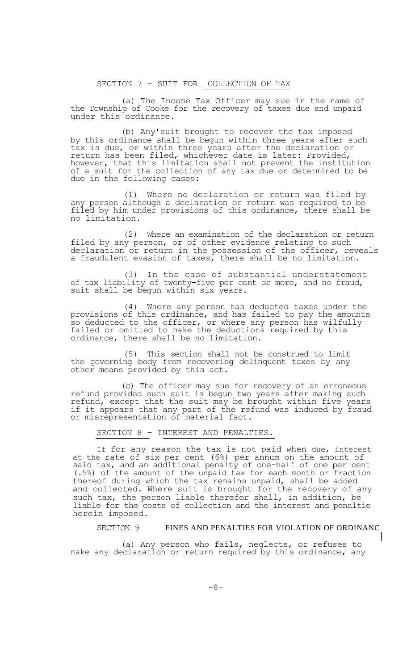SECTION 7 - SUIT FOR COLLECTION OF TAX

(a) The Income Tax Officer may sue in the name of the Township of Cooke for the recovery of taxes due and unpaid under this ordinance.

(b) Any'suit brought to recover the tax imposed by this ordinance shall be begun within three years after such tax is due, or within three years after the declaration or return has been filed, whichever date is later: Provided, however, that this limitation shall not prevent the institution of a suit for the collection of any tax due or determined to be due in the following cases:

(1) Where no declaration or return was filed by any person although a declaration or return was required to be filed by him under provisions of this ordinance, there shall be no limitation.

(2) Where an examination of the declaration or return filed by any person, or of other evidence relating to such declaration or return in the possession of the officer, reveals a fraudulent evasion of taxes, there shall be no limitation.

(3) In the case of substantial understatement of tax liability of twenty-five per cent or more, and no fraud, suit shall be begun within six years.

(4) Where any person has deducted taxes under the provisions of this ordinance, and has failed to pay the amounts .<br>so deducted to the officer, or where any person has wilfully failed or omitted to make the deductions required by this ordinance, there shall be no limitation.

(5) This section shall not be construed to limit the governing body from recovering delinquent taxes by any other means provided by this act.

(c) The officer may sue for recovery of an erroneous refund provided such suit is begun two years after making such refund, except that the suit may be brought within five years if it appears that any part of the refund was induced by fraud or misrepresentation of material fact.

# SECTION 8 - INTEREST AND PENALTIES.

If for any reason the tax is not paid when due, interest at the rate of six per cent (6%) per annum on the amount of said tax, and an additional penalty of one-half of one per cent (.5%) of the amount of the unpaid tax for each month or fraction thereof during which the tax remains unpaid, shall be added and collected. Where suit is brought for the recovery of any such tax, the person liable therefor shall, in addition, be liable for the costs of collection and the interest and penaltie herein imposed.

## SECTION 9 FINES AND PENALTIES FOR VIOLATION OF ORDINANC

 $\mathbf{I}$ 

(a) Any person who fails, neglects, or refuses to make any declaration or return required by this ordinance, any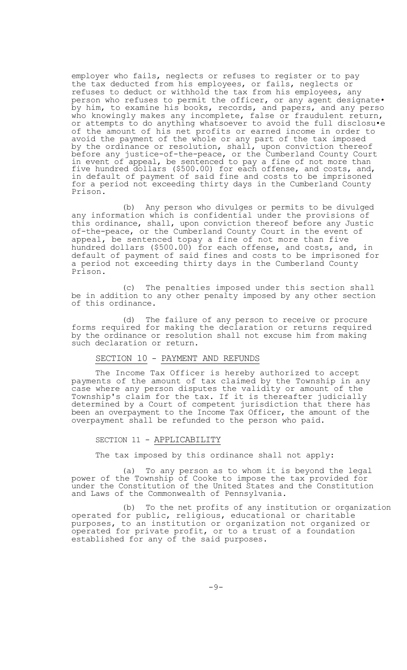employer who fails, neglects or refuses to register or to pay the tax deducted from his employees, or fails, neglects or refuses to deduct or withhold the tax from his employees, any person who refuses to permit the officer, or any agent designate• by him, to examine his books, records, and papers, and any perso who knowingly makes any incomplete, false or fraudulent return, or attempts to do anything whatsoever to avoid the full disclosu•e of the amount of his net profits or earned income in order to avoid the payment of the whole or any part of the tax imposed by the ordinance or resolution, shall, upon conviction thereof before any justice-of-the-peace, or the Cumberland County Court in event of appeal, be sentenced to pay a fine of not more than five hundred dollars (\$500.00) for each offense, and costs, and, in default of payment of said fine and costs to be imprisoned for a period not exceeding thirty days in the Cumberland County Prison.

(b) Any person who divulges or permits to be divulged any information which is confidential under the provisions of this ordinance, shall, upon conviction thereof before any Justic of-the-peace, or the Cumberland County Court in the event of appeal, be sentenced topay a fine of not more than five hundred dollars (\$500.00) for each offense, and costs, and, in default of payment of said fines and costs to be imprisoned for a period not exceeding thirty days in the Cumberland County Prison.

(c) The penalties imposed under this section shall be in addition to any other penalty imposed by any other section of this ordinance.

(d) The failure of any person to receive or procure forms required for making the declaration or returns required by the ordinance or resolution shall not excuse him from making such declaration or return.

# SECTION 10 - PAYMENT AND REFUNDS

The Income Tax Officer is hereby authorized to accept payments of the amount of tax claimed by the Township in any case where any person disputes the validity or amount of the Township's claim for the tax. If it is thereafter judicially determined by a Court of competent jurisdiction that there has been an overpayment to the Income Tax Officer, the amount of the overpayment shall be refunded to the person who paid.

### SECTION 11 - APPLICABILITY

The tax imposed by this ordinance shall not apply:

(a) To any person as to whom it is beyond the legal power of the Township of Cooke to impose the tax provided for under the Constitution of the United States and the Constitution and Laws of the Commonwealth of Pennsylvania.

(b) To the net profits of any institution or organization operated for public, religious, educational or charitable purposes, to an institution or organization not organized or operated for private profit, or to a trust of a foundation established for any of the said purposes.